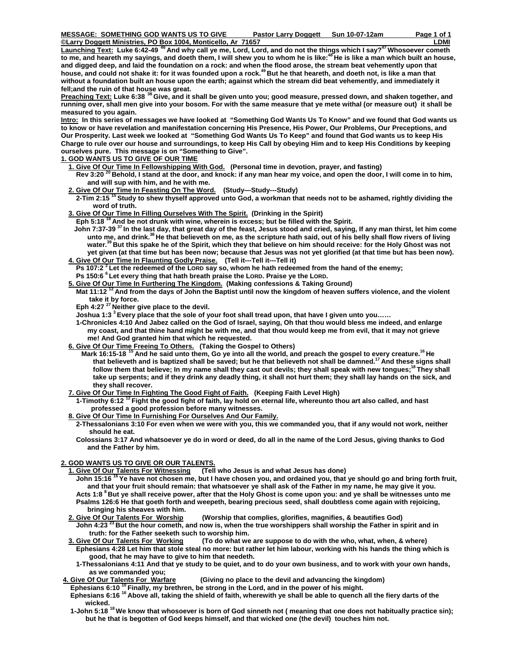**Carry Doggett Ministries, PO Box 1004, Monticello, Ar 71657 B LDMI** B LOWING AND RESERVE TO A LOWING A LOWING A LOWING A LOWING A LOWING A LOWING A LOWING A LOWING A LOWING A LOWING A LOWING A LOWING A LOWING A LOWING A L Launching Text: Luke 6:42-49<sup>46</sup> And why call ye me, Lord, Lord, and do not the things which I say?<sup>47</sup> Whosoever cometh **to me, and heareth my sayings, and doeth them, I will shew you to whom he is like:48 He is like a man which built an house, and digged deep, and laid the foundation on a rock: and when the flood arose, the stream beat vehemently upon that house, and could not shake it: for it was founded upon a rock.49 But he that heareth, and doeth not, is like a man that without a foundation built an house upon the earth; against which the stream did beat vehemently, and immediately it**  fell;and the ruin of that house was great.

**Preaching Text: Luke 6:38 38 Give, and it shall be given unto you; good measure, pressed down, and shaken together, and running over, shall men give into your bosom. For with the same measure that ye mete withal (or measure out) it shall be measured to you again.**

**Intro: In this series of messages we have looked at "Something God Wants Us To Know" and we found that God wants us to know or have revelation and manifestation concerning His Presence, His Power, Our Problems, Our Preceptions, and Our Prosperity. Last week we looked at "Something God Wants Us To Keep" and found that God wants us to keep His Charge to rule over our house and surroundings, to keep His Call by obeying Him and to keep His Conditions by keeping ourselves pure. This message is on "Something to Give".** 

- **1. GOD WANTS US TO GIVE OF OUR TIME**
	- **1. Give Of Our Time In Fellowshipping With God. (Personal time in devotion, prayer, and fasting)**

Rev 3:20 <sup>20</sup> Behold, I stand at the door, and knock: if any man hear my voice, and open the door, I will come in to him,  **and will sup with him, and he with me.** 

- **2. Give Of Our Time In Feasting On The Word. (Study—Study---Study)**
- **2-Tim 2:15 15 Study to shew thyself approved unto God, a workman that needs not to be ashamed, rightly dividing the word of truth.**
- **3. Give Of Our Time In Filling Ourselves With The Spirit. (Drinking in the Spirit)**

 **Eph 5:18 18 And be not drunk with wine, wherein is excess; but be filled with the Spirit.** 

 **John 7:37-39 37 In the last day, that great day of the feast, Jesus stood and cried, saying, If any man thirst, let him come unto me, and drink.38 He that believeth on me, as the scripture hath said, out of his belly shall flow rivers of living**  water.<sup>39</sup> But this spake he of the Spirit, which they that believe on him should receive: for the Holy Ghost was not  **yet given (at that time but has been now; because that Jesus was not yet glorified (at that time but has been now). 4. Give Of Our Time In Flaunting Godly Praise. (Tell it---Tell it---Tell it)** 

**Ps 107:2** <sup>2</sup> Let the redeemed of the LORD say so, whom he hath redeemed from the hand of the enemy;

 **Ps 150:6 6 Let every thing that hath breath praise the LORD. Praise ye the LORD.** 

- **5. Give Of Our Time In Furthering The Kingdom. (Making confessions & Taking Ground)**
- Mat 11:12<sup>12</sup> And from the days of John the Baptist until now the kingdom of heaven suffers violence, and the violent  **take it by force.**

 **Eph 4:27 27 Neither give place to the devil.** 

 **Joshua 1:3 3 Every place that the sole of your foot shall tread upon, that have I given unto you……** 

 **1-Chronicles 4:10 And Jabez called on the God of Israel, saying, Oh that thou would bless me indeed, and enlarge my coast, and that thine hand might be with me, and that thou would keep me from evil, that it may not grieve me! And God granted him that which he requested.** 

- **6. Give Of Our Time Freeing To Others. (Taking the Gospel to Others)** 
	- **Mark 16:15-18 15 And he said unto them, Go ye into all the world, and preach the gospel to every creature.16 He that believeth and is baptized shall be saved; but he that believeth not shall be damned.17 And these signs shall**  follow them that believe; In my name shall they cast out devils; they shall speak with new tongues;<sup>18</sup> They shall  **take up serpents; and if they drink any deadly thing, it shall not hurt them; they shall lay hands on the sick, and they shall recover.**

 **7. Give Of Our Time In Fighting The Good Fight of Faith. (Keeping Faith Level High)** 

 **1-Timothy 6:12 12 Fight the good fight of faith, lay hold on eternal life, whereunto thou art also called, and hast professed a good profession before many witnesses.** 

 **8. Give Of Our Time In Furnishing For Ourselves And Our Family.**

 **2-Thessalonians 3:10 For even when we were with you, this we commanded you, that if any would not work, neither should he eat.** 

 **Colossians 3:17 And whatsoever ye do in word or deed, do all in the name of the Lord Jesus, giving thanks to God and the Father by him.** 

## **2. GOD WANTS US TO GIVE OR OUR TALENTS.**

- **1. Give Of Our Talents For Witnessing (Tell who Jesus is and what Jesus has done) John 15:16 16 Ye have not chosen me, but I have chosen you, and ordained you, that ye should go and bring forth fruit, and that your fruit should remain: that whatsoever ye shall ask of the Father in my name, he may give it you. Acts 1:8 8 But ye shall receive power, after that the Holy Ghost is come upon you: and ye shall be witnesses unto me Psalms 126:6 He that goeth forth and weepeth, bearing precious seed, shall doubtless come again with rejoicing, bringing his sheaves with him.** 
	- **2. Give Of Our Talents For Worship (Worship that complies, glorifies, magnifies, & beautifies God)**

 **John 4:23 23 But the hour cometh, and now is, when the true worshippers shall worship the Father in spirit and in truth: for the Father seeketh such to worship him.** 

- **3. Give Of Our Talents For Working (To do what we are suppose to do with the who, what, when, & where) Ephesians 4:28 Let him that stole steal no more: but rather let him labour, working with his hands the thing which is good, that he may have to give to him that needeth.**
- **1-Thessalonians 4:11 And that ye study to be quiet, and to do your own business, and to work with your own hands,**  as we commanded you;<br>**4. Give Of Our Talents For Warfare** 
	- **(Giving no place to the devil and advancing the kingdom)**

Ephesians 6:10<sup>10</sup> Finally, my brethren, be strong in the Lord, and in the power of his might.

- Ephesians 6:16<sup>16</sup> Above all, taking the shield of faith, wherewith ye shall be able to quench all the fiery darts of the  **wicked.**
- **1-John 5:18 18 We know that whosoever is born of God sinneth not ( meaning that one does not habitually practice sin); but he that is begotten of God keeps himself, and that wicked one (the devil) touches him not.**